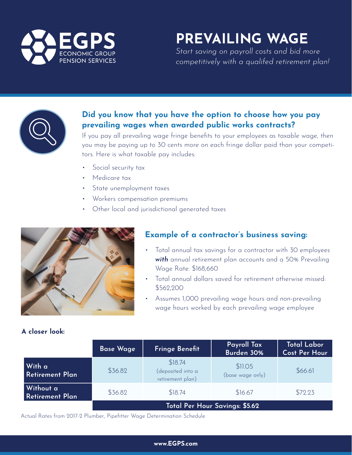

# **PREVAILING WAGE**

*Start saving on payroll costs and bid more competitively with a qualifed retirement plan!*



## **Did you know that you have the option to choose how you pay prevailing wages when awarded public works contracts?**

If you pay all prevailing wage fringe benefits to your employees as taxable wage, then you may be paying up to 30 cents more on each fringe dollar paid than your competitors. Here is what taxable pay includes:

- Social security tax
- Medicare tax
- State unemployment taxes
- Workers compensation premiums
- Other local and jurisdictional generated taxes



## **Example of a contractor's business saving:**

- Total annual tax savings for a contractor with 30 employees *with* annual retirement plan accounts and a 50% Prevailing Wage Rate: \$168,660
- Total annual dollars saved for retirement otherwise missed: \$562,200
- Assumes 1,000 prevailing wage hours and non-prevailing wage hours worked by each prevailing wage employee

| A closer look: |  |
|----------------|--|
|                |  |

|                              | <b>Base Wage</b>               | <b>Fringe Benefit</b>                            | Payroll Tax<br>Burden 30%   | <b>Total Labor</b><br><b>Cost Per Hour</b> |
|------------------------------|--------------------------------|--------------------------------------------------|-----------------------------|--------------------------------------------|
| With a<br>Retirement Plan    | \$36.82                        | \$18.74<br>(deposited into a<br>retirement plan) | \$11.05<br>(base wage only) | \$66.61                                    |
| Without a<br>Retirement Plan | \$36.82                        | \$18.74                                          | \$16.67                     | \$72.23                                    |
|                              | Total Per Hour Savings: \$5.62 |                                                  |                             |                                            |

Actual Rates from 2017-2 Plumber, Pipefitter Wage Determination Schedule